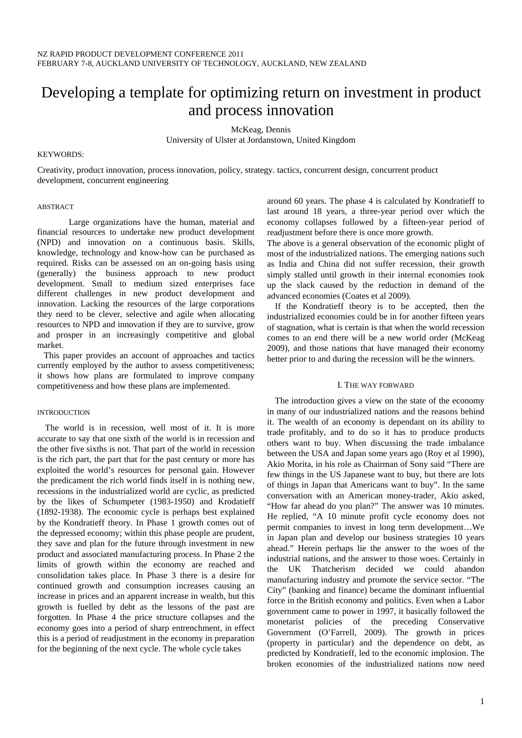# Developing a template for optimizing return on investment in product and process innovation

McKeag, Dennis

University of Ulster at Jordanstown, United Kingdom

#### KEYWORDS:

Creativity, product innovation, process innovation, policy, strategy. tactics, concurrent design, concurrent product development, concurrent engineering

# ABSTRACT

 Large organizations have the human, material and financial resources to undertake new product development (NPD) and innovation on a continuous basis. Skills, knowledge, technology and know-how can be purchased as required. Risks can be assessed on an on-going basis using (generally) the business approach to new product development. Small to medium sized enterprises face different challenges in new product development and innovation. Lacking the resources of the large corporations they need to be clever, selective and agile when allocating resources to NPD and innovation if they are to survive, grow and prosper in an increasingly competitive and global market.

 This paper provides an account of approaches and tactics currently employed by the author to assess competitiveness; it shows how plans are formulated to improve company competitiveness and how these plans are implemented.

# INTRODUCTION

 The world is in recession, well most of it. It is more accurate to say that one sixth of the world is in recession and the other five sixths is not. That part of the world in recession is the rich part, the part that for the past century or more has exploited the world's resources for personal gain. However the predicament the rich world finds itself in is nothing new, recessions in the industrialized world are cyclic, as predicted by the likes of Schumpeter (1983-1950) and Krodatieff (1892-1938). The economic cycle is perhaps best explained by the Kondratieff theory. In Phase 1 growth comes out of the depressed economy; within this phase people are prudent, they save and plan for the future through investment in new product and associated manufacturing process. In Phase 2 the limits of growth within the economy are reached and consolidation takes place. In Phase 3 there is a desire for continued growth and consumption increases causing an increase in prices and an apparent increase in wealth, but this growth is fuelled by debt as the lessons of the past are forgotten. In Phase 4 the price structure collapses and the economy goes into a period of sharp entrenchment, in effect this is a period of readjustment in the economy in preparation for the beginning of the next cycle. The whole cycle takes

around 60 years. The phase 4 is calculated by Kondratieff to last around 18 years, a three-year period over which the economy collapses followed by a fifteen-year period of readjustment before there is once more growth.

The above is a general observation of the economic plight of most of the industrialized nations. The emerging nations such as India and China did not suffer recession, their growth simply stalled until growth in their internal economies took up the slack caused by the reduction in demand of the advanced economies (Coates et al 2009).

If the Kondratieff theory is to be accepted, then the industrialized economies could be in for another fifteen years of stagnation, what is certain is that when the world recession comes to an end there will be a new world order (McKeag 2009), and those nations that have managed their economy better prior to and during the recession will be the winners.

# I. THE WAY FORWARD

The introduction gives a view on the state of the economy in many of our industrialized nations and the reasons behind it. The wealth of an economy is dependant on its ability to trade profitably, and to do so it has to produce products others want to buy. When discussing the trade imbalance between the USA and Japan some years ago (Roy et al 1990), Akio Morita, in his role as Chairman of Sony said "There are few things in the US Japanese want to buy, but there are lots of things in Japan that Americans want to buy". In the same conversation with an American money-trader, Akio asked, "How far ahead do you plan?" The answer was 10 minutes. He replied, "A 10 minute profit cycle economy does not permit companies to invest in long term development…We in Japan plan and develop our business strategies 10 years ahead." Herein perhaps lie the answer to the woes of the industrial nations, and the answer to those woes. Certainly in the UK Thatcherism decided we could abandon manufacturing industry and promote the service sector. "The City" (banking and finance) became the dominant influential force in the British economy and politics. Even when a Labor government came to power in 1997, it basically followed the monetarist policies of the preceding Conservative Government (O'Farrell, 2009). The growth in prices (property in particular) and the dependence on debt, as predicted by Kondratieff, led to the economic implosion. The broken economies of the industrialized nations now need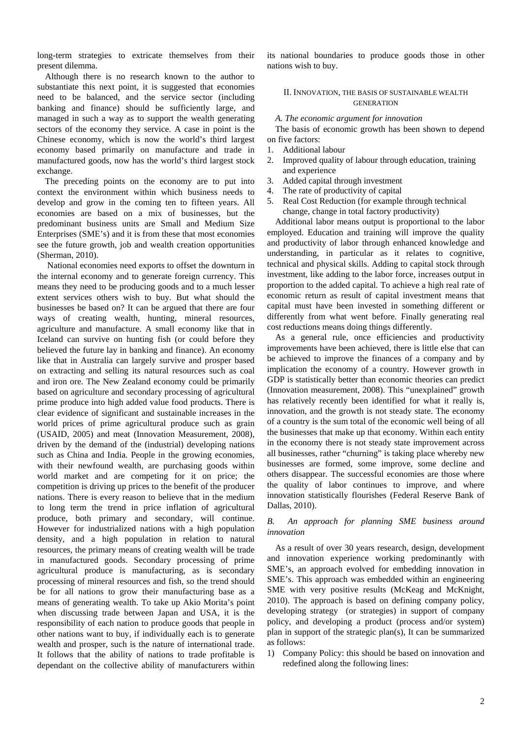long-term strategies to extricate themselves from their present dilemma.

Although there is no research known to the author to substantiate this next point, it is suggested that economies need to be balanced, and the service sector (including banking and finance) should be sufficiently large, and managed in such a way as to support the wealth generating sectors of the economy they service. A case in point is the Chinese economy, which is now the world's third largest economy based primarily on manufacture and trade in manufactured goods, now has the world's third largest stock exchange.

The preceding points on the economy are to put into context the environment within which business needs to develop and grow in the coming ten to fifteen years. All economies are based on a mix of businesses, but the predominant business units are Small and Medium Size Enterprises (SME's) and it is from these that most economies see the future growth, job and wealth creation opportunities (Sherman, 2010).

 National economies need exports to offset the downturn in the internal economy and to generate foreign currency. This means they need to be producing goods and to a much lesser extent services others wish to buy. But what should the businesses be based on? It can be argued that there are four ways of creating wealth, hunting, mineral resources, agriculture and manufacture. A small economy like that in Iceland can survive on hunting fish (or could before they believed the future lay in banking and finance). An economy like that in Australia can largely survive and prosper based on extracting and selling its natural resources such as coal and iron ore. The New Zealand economy could be primarily based on agriculture and secondary processing of agricultural prime produce into high added value food products. There is clear evidence of significant and sustainable increases in the world prices of prime agricultural produce such as grain (USAID, 2005) and meat (Innovation Measurement, 2008), driven by the demand of the (industrial) developing nations such as China and India. People in the growing economies, with their newfound wealth, are purchasing goods within world market and are competing for it on price; the competition is driving up prices to the benefit of the producer nations. There is every reason to believe that in the medium to long term the trend in price inflation of agricultural produce, both primary and secondary, will continue. However for industrialized nations with a high population density, and a high population in relation to natural resources, the primary means of creating wealth will be trade in manufactured goods. Secondary processing of prime agricultural produce is manufacturing, as is secondary processing of mineral resources and fish, so the trend should be for all nations to grow their manufacturing base as a means of generating wealth. To take up Akio Morita's point when discussing trade between Japan and USA, it is the responsibility of each nation to produce goods that people in other nations want to buy, if individually each is to generate wealth and prosper, such is the nature of international trade. It follows that the ability of nations to trade profitable is dependant on the collective ability of manufacturers within its national boundaries to produce goods those in other nations wish to buy.

# II. INNOVATION, THE BASIS OF SUSTAINABLE WEALTH **GENERATION**

#### *A. The economic argument for innovation*

The basis of economic growth has been shown to depend on five factors:

- 1. Additional labour
- 2. Improved quality of labour through education, training and experience
- 3. Added capital through investment
- 4. The rate of productivity of capital
- 5. Real Cost Reduction (for example through technical change, change in total factory productivity)

Additional labor means output is proportional to the labor employed. Education and training will improve the quality and productivity of labor through enhanced knowledge and understanding, in particular as it relates to cognitive, technical and physical skills. Adding to capital stock through investment, like adding to the labor force, increases output in proportion to the added capital. To achieve a high real rate of economic return as result of capital investment means that capital must have been invested in something different or differently from what went before. Finally generating real cost reductions means doing things differently.

As a general rule, once efficiencies and productivity improvements have been achieved, there is little else that can be achieved to improve the finances of a company and by implication the economy of a country. However growth in GDP is statistically better than economic theories can predict (Innovation measurement, 2008). This "unexplained" growth has relatively recently been identified for what it really is, innovation, and the growth is not steady state. The economy of a country is the sum total of the economic well being of all the businesses that make up that economy. Within each entity in the economy there is not steady state improvement across all businesses, rather "churning" is taking place whereby new businesses are formed, some improve, some decline and others disappear. The successful economies are those where the quality of labor continues to improve, and where innovation statistically flourishes (Federal Reserve Bank of Dallas, 2010).

# *B. An approach for planning SME business around innovation*

As a result of over 30 years research, design, development and innovation experience working predominantly with SME's, an approach evolved for embedding innovation in SME's. This approach was embedded within an engineering SME with very positive results (McKeag and McKnight, 2010). The approach is based on defining company policy, developing strategy (or strategies) in support of company policy, and developing a product (process and/or system) plan in support of the strategic plan(s), It can be summarized as follows:

1) Company Policy: this should be based on innovation and redefined along the following lines: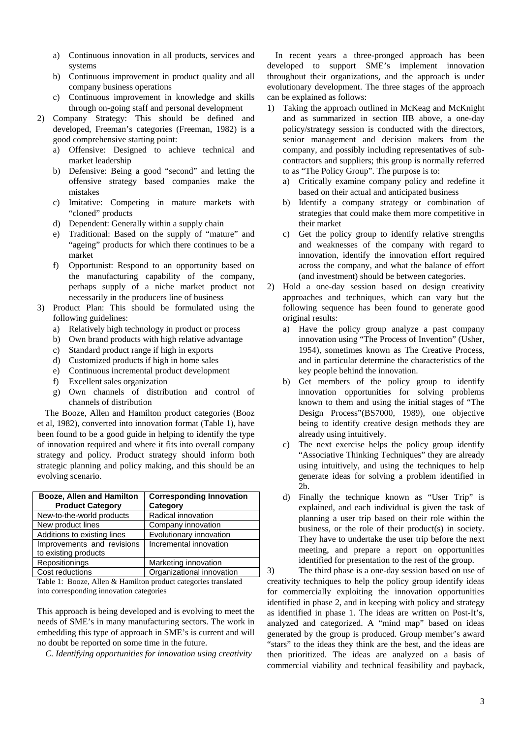- a) Continuous innovation in all products, services and systems
- b) Continuous improvement in product quality and all company business operations
- c) Continuous improvement in knowledge and skills through on-going staff and personal development
- 2) Company Strategy: This should be defined and developed, Freeman's categories (Freeman, 1982) is a good comprehensive starting point:
	- a) Offensive: Designed to achieve technical and market leadership
	- b) Defensive: Being a good "second" and letting the offensive strategy based companies make the mistakes
	- c) Imitative: Competing in mature markets with "cloned" products
	- d) Dependent: Generally within a supply chain
	- e) Traditional: Based on the supply of "mature" and "ageing" products for which there continues to be a market
	- f) Opportunist: Respond to an opportunity based on the manufacturing capability of the company, perhaps supply of a niche market product not necessarily in the producers line of business
- 3) Product Plan: This should be formulated using the following guidelines:
	- a) Relatively high technology in product or process
	- b) Own brand products with high relative advantage
	- c) Standard product range if high in exports
	- d) Customized products if high in home sales
	- e) Continuous incremental product development
	- f) Excellent sales organization
	- g) Own channels of distribution and control of channels of distribution

The Booze, Allen and Hamilton product categories (Booz et al, 1982), converted into innovation format (Table 1), have been found to be a good guide in helping to identify the type of innovation required and where it fits into overall company strategy and policy. Product strategy should inform both strategic planning and policy making, and this should be an evolving scenario.

| Booze, Allen and Hamilton   | <b>Corresponding Innovation</b> |
|-----------------------------|---------------------------------|
| <b>Product Category</b>     | Category                        |
| New-to-the-world products   | Radical innovation              |
| New product lines           | Company innovation              |
| Additions to existing lines | Evolutionary innovation         |
| Improvements and revisions  | Incremental innovation          |
| to existing products        |                                 |
| Repositionings              | Marketing innovation            |
| Cost reductions             | Organizational innovation       |

Table 1: Booze, Allen & Hamilton product categories translated into corresponding innovation categories

This approach is being developed and is evolving to meet the needs of SME's in many manufacturing sectors. The work in embedding this type of approach in SME's is current and will no doubt be reported on some time in the future.

*C. Identifying opportunities for innovation using creativity* 

In recent years a three-pronged approach has been developed to support SME's implement innovation throughout their organizations, and the approach is under evolutionary development. The three stages of the approach can be explained as follows:

- 1) Taking the approach outlined in McKeag and McKnight and as summarized in section IIB above, a one-day policy/strategy session is conducted with the directors, senior management and decision makers from the company, and possibly including representatives of subcontractors and suppliers; this group is normally referred to as "The Policy Group". The purpose is to:
	- a) Critically examine company policy and redefine it based on their actual and anticipated business
	- b) Identify a company strategy or combination of strategies that could make them more competitive in their market
	- c) Get the policy group to identify relative strengths and weaknesses of the company with regard to innovation, identify the innovation effort required across the company, and what the balance of effort (and investment) should be between categories.
- 2) Hold a one-day session based on design creativity approaches and techniques, which can vary but the following sequence has been found to generate good original results:
	- a) Have the policy group analyze a past company innovation using "The Process of Invention" (Usher, 1954), sometimes known as The Creative Process, and in particular determine the characteristics of the key people behind the innovation.
	- b) Get members of the policy group to identify innovation opportunities for solving problems known to them and using the initial stages of "The Design Process"(BS7000, 1989), one objective being to identify creative design methods they are already using intuitively.
	- c) The next exercise helps the policy group identify "Associative Thinking Techniques" they are already using intuitively, and using the techniques to help generate ideas for solving a problem identified in 2b.
	- d) Finally the technique known as "User Trip" is explained, and each individual is given the task of planning a user trip based on their role within the business, or the role of their product(s) in society. They have to undertake the user trip before the next meeting, and prepare a report on opportunities identified for presentation to the rest of the group.

3) The third phase is a one-day session based on use of creativity techniques to help the policy group identify ideas for commercially exploiting the innovation opportunities identified in phase 2, and in keeping with policy and strategy as identified in phase 1. The ideas are written on Post-It's, analyzed and categorized. A "mind map" based on ideas generated by the group is produced. Group member's award "stars" to the ideas they think are the best, and the ideas are then prioritized. The ideas are analyzed on a basis of commercial viability and technical feasibility and payback,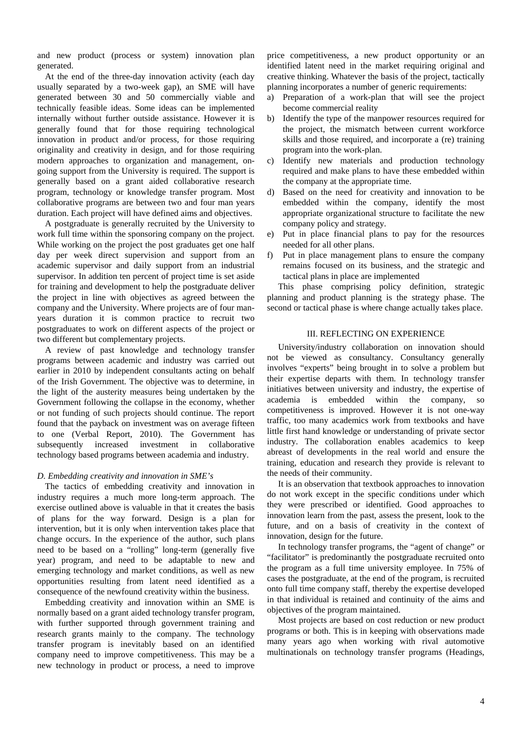and new product (process or system) innovation plan generated.

At the end of the three-day innovation activity (each day usually separated by a two-week gap), an SME will have generated between 30 and 50 commercially viable and technically feasible ideas. Some ideas can be implemented internally without further outside assistance. However it is generally found that for those requiring technological innovation in product and/or process, for those requiring originality and creativity in design, and for those requiring modern approaches to organization and management, ongoing support from the University is required. The support is generally based on a grant aided collaborative research program, technology or knowledge transfer program. Most collaborative programs are between two and four man years duration. Each project will have defined aims and objectives.

A postgraduate is generally recruited by the University to work full time within the sponsoring company on the project. While working on the project the post graduates get one half day per week direct supervision and support from an academic supervisor and daily support from an industrial supervisor. In addition ten percent of project time is set aside for training and development to help the postgraduate deliver the project in line with objectives as agreed between the company and the University. Where projects are of four manyears duration it is common practice to recruit two postgraduates to work on different aspects of the project or two different but complementary projects.

A review of past knowledge and technology transfer programs between academic and industry was carried out earlier in 2010 by independent consultants acting on behalf of the Irish Government. The objective was to determine, in the light of the austerity measures being undertaken by the Government following the collapse in the economy, whether or not funding of such projects should continue. The report found that the payback on investment was on average fifteen to one (Verbal Report, 2010). The Government has subsequently increased investment in collaborative technology based programs between academia and industry.

# *D. Embedding creativity and innovation in SME's*

The tactics of embedding creativity and innovation in industry requires a much more long-term approach. The exercise outlined above is valuable in that it creates the basis of plans for the way forward. Design is a plan for intervention, but it is only when intervention takes place that change occurs. In the experience of the author, such plans need to be based on a "rolling" long-term (generally five year) program, and need to be adaptable to new and emerging technology and market conditions, as well as new opportunities resulting from latent need identified as a consequence of the newfound creativity within the business.

Embedding creativity and innovation within an SME is normally based on a grant aided technology transfer program, with further supported through government training and research grants mainly to the company. The technology transfer program is inevitably based on an identified company need to improve competitiveness. This may be a new technology in product or process, a need to improve price competitiveness, a new product opportunity or an identified latent need in the market requiring original and creative thinking. Whatever the basis of the project, tactically planning incorporates a number of generic requirements:

- a) Preparation of a work-plan that will see the project become commercial reality
- b) Identify the type of the manpower resources required for the project, the mismatch between current workforce skills and those required, and incorporate a (re) training program into the work-plan.
- c) Identify new materials and production technology required and make plans to have these embedded within the company at the appropriate time.
- d) Based on the need for creativity and innovation to be embedded within the company, identify the most appropriate organizational structure to facilitate the new company policy and strategy.
- e) Put in place financial plans to pay for the resources needed for all other plans.
- f) Put in place management plans to ensure the company remains focused on its business, and the strategic and tactical plans in place are implemented

 This phase comprising policy definition, strategic planning and product planning is the strategy phase. The second or tactical phase is where change actually takes place.

#### III. REFLECTING ON EXPERIENCE

 University/industry collaboration on innovation should not be viewed as consultancy. Consultancy generally involves "experts" being brought in to solve a problem but their expertise departs with them. In technology transfer initiatives between university and industry, the expertise of academia is embedded within the company, so competitiveness is improved. However it is not one-way traffic, too many academics work from textbooks and have little first hand knowledge or understanding of private sector industry. The collaboration enables academics to keep abreast of developments in the real world and ensure the training, education and research they provide is relevant to the needs of their community.

 It is an observation that textbook approaches to innovation do not work except in the specific conditions under which they were prescribed or identified. Good approaches to innovation learn from the past, assess the present, look to the future, and on a basis of creativity in the context of innovation, design for the future.

 In technology transfer programs, the "agent of change" or "facilitator" is predominantly the postgraduate recruited onto the program as a full time university employee. In 75% of cases the postgraduate, at the end of the program, is recruited onto full time company staff, thereby the expertise developed in that individual is retained and continuity of the aims and objectives of the program maintained.

 Most projects are based on cost reduction or new product programs or both. This is in keeping with observations made many years ago when working with rival automotive multinationals on technology transfer programs (Headings,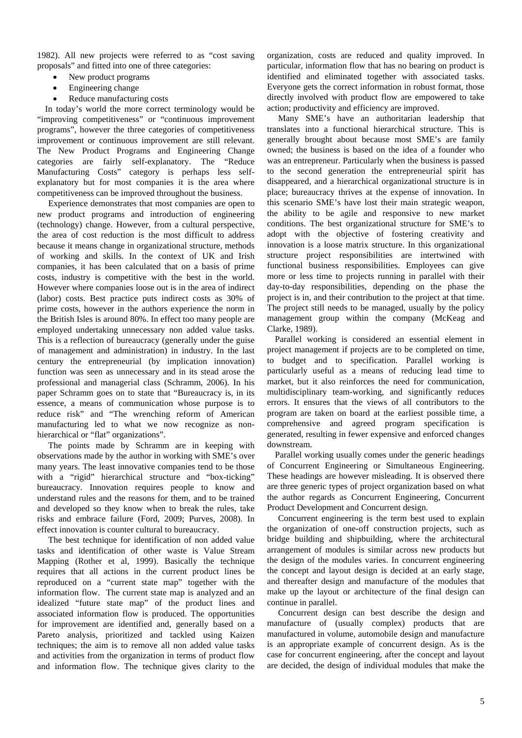1982). All new projects were referred to as "cost saving proposals" and fitted into one of three categories:

- New product programs
- Engineering change
- Reduce manufacturing costs

In today's world the more correct terminology would be "improving competitiveness" or "continuous improvement programs", however the three categories of competitiveness improvement or continuous improvement are still relevant. The New Product Programs and Engineering Change categories are fairly self-explanatory. The "Reduce Manufacturing Costs" category is perhaps less selfexplanatory but for most companies it is the area where competitiveness can be improved throughout the business.

 Experience demonstrates that most companies are open to new product programs and introduction of engineering (technology) change. However, from a cultural perspective, the area of cost reduction is the most difficult to address because it means change in organizational structure, methods of working and skills. In the context of UK and Irish companies, it has been calculated that on a basis of prime costs, industry is competitive with the best in the world. However where companies loose out is in the area of indirect (labor) costs. Best practice puts indirect costs as 30% of prime costs, however in the authors experience the norm in the British Isles is around 80%. In effect too many people are employed undertaking unnecessary non added value tasks. This is a reflection of bureaucracy (generally under the guise of management and administration) in industry. In the last century the entrepreneurial (by implication innovation) function was seen as unnecessary and in its stead arose the professional and managerial class (Schramm, 2006). In his paper Schramm goes on to state that "Bureaucracy is, in its essence, a means of communication whose purpose is to reduce risk" and "The wrenching reform of American manufacturing led to what we now recognize as nonhierarchical or "flat" organizations".

 The points made by Schramm are in keeping with observations made by the author in working with SME's over many years. The least innovative companies tend to be those with a "rigid" hierarchical structure and "box-ticking" bureaucracy. Innovation requires people to know and understand rules and the reasons for them, and to be trained and developed so they know when to break the rules, take risks and embrace failure (Ford, 2009; Purves, 2008). In effect innovation is counter cultural to bureaucracy.

 The best technique for identification of non added value tasks and identification of other waste is Value Stream Mapping (Rother et al, 1999). Basically the technique requires that all actions in the current product lines be reproduced on a "current state map" together with the information flow. The current state map is analyzed and an idealized "future state map" of the product lines and associated information flow is produced. The opportunities for improvement are identified and, generally based on a Pareto analysis, prioritized and tackled using Kaizen techniques; the aim is to remove all non added value tasks and activities from the organization in terms of product flow and information flow. The technique gives clarity to the organization, costs are reduced and quality improved. In particular, information flow that has no bearing on product is identified and eliminated together with associated tasks. Everyone gets the correct information in robust format, those directly involved with product flow are empowered to take action; productivity and efficiency are improved.

 Many SME's have an authoritarian leadership that translates into a functional hierarchical structure. This is generally brought about because most SME's are family owned; the business is based on the idea of a founder who was an entrepreneur. Particularly when the business is passed to the second generation the entrepreneurial spirit has disappeared, and a hierarchical organizational structure is in place; bureaucracy thrives at the expense of innovation. In this scenario SME's have lost their main strategic weapon, the ability to be agile and responsive to new market conditions. The best organizational structure for SME's to adopt with the objective of fostering creativity and innovation is a loose matrix structure. In this organizational structure project responsibilities are intertwined with functional business responsibilities. Employees can give more or less time to projects running in parallel with their day-to-day responsibilities, depending on the phase the project is in, and their contribution to the project at that time. The project still needs to be managed, usually by the policy management group within the company (McKeag and Clarke, 1989).

Parallel working is considered an essential element in project management if projects are to be completed on time, to budget and to specification. Parallel working is particularly useful as a means of reducing lead time to market, but it also reinforces the need for communication, multidisciplinary team-working, and significantly reduces errors. It ensures that the views of all contributors to the program are taken on board at the earliest possible time, a comprehensive and agreed program specification is generated, resulting in fewer expensive and enforced changes downstream.

Parallel working usually comes under the generic headings of Concurrent Engineering or Simultaneous Engineering. These headings are however misleading. It is observed there are three generic types of project organization based on what the author regards as Concurrent Engineering, Concurrent Product Development and Concurrent design.

 Concurrent engineering is the term best used to explain the organization of one-off construction projects, such as bridge building and shipbuilding, where the architectural arrangement of modules is similar across new products but the design of the modules varies. In concurrent engineering the concept and layout design is decided at an early stage, and thereafter design and manufacture of the modules that make up the layout or architecture of the final design can continue in parallel.

 Concurrent design can best describe the design and manufacture of (usually complex) products that are manufactured in volume, automobile design and manufacture is an appropriate example of concurrent design. As is the case for concurrent engineering, after the concept and layout are decided, the design of individual modules that make the